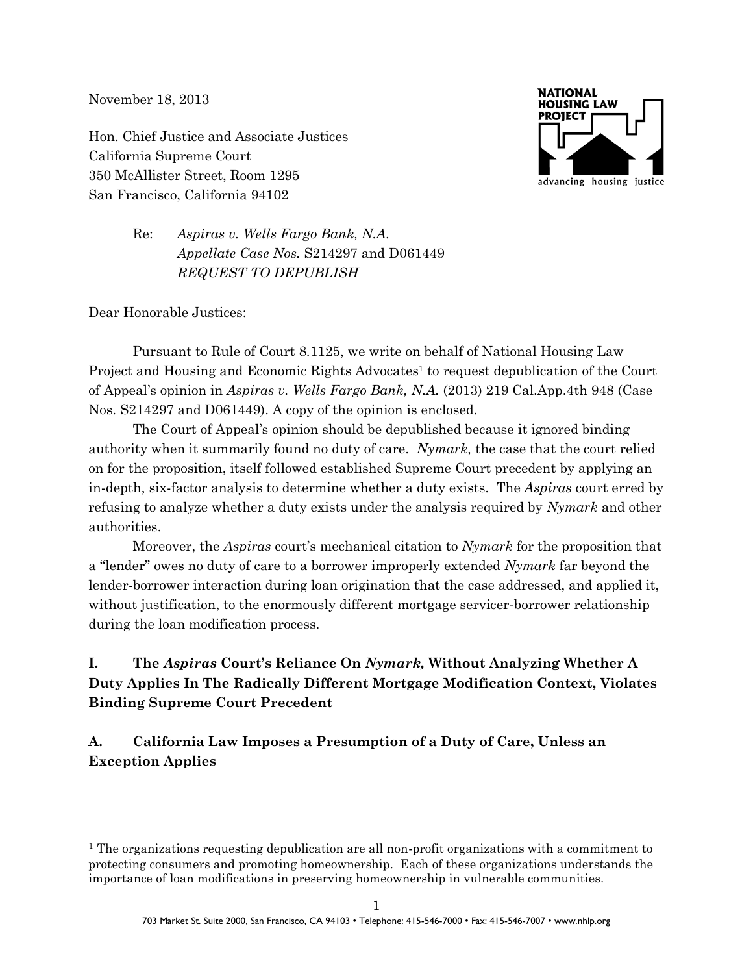November 18, 2013

Hon. Chief Justice and Associate Justices California Supreme Court 350 McAllister Street, Room 1295 San Francisco, California 94102



Re: *Aspiras v. Wells Fargo Bank, N.A. Appellate Case Nos.* S214297 and D061449 *REQUEST TO DEPUBLISH*

Dear Honorable Justices:

 $\overline{a}$ 

Pursuant to Rule of Court 8.1125, we write on behalf of National Housing Law Project and Housing and Economic Rights Advocates<sup>1</sup> to request depublication of the Court of Appeal's opinion in *Aspiras v. Wells Fargo Bank, N.A.* (2013) 219 Cal.App.4th 948 (Case Nos. S214297 and D061449). A copy of the opinion is enclosed.

The Court of Appeal's opinion should be depublished because it ignored binding authority when it summarily found no duty of care. *Nymark,* the case that the court relied on for the proposition, itself followed established Supreme Court precedent by applying an in-depth, six-factor analysis to determine whether a duty exists. The *Aspiras* court erred by refusing to analyze whether a duty exists under the analysis required by *Nymark* and other authorities.

Moreover, the *Aspiras* court's mechanical citation to *Nymark* for the proposition that a "lender" owes no duty of care to a borrower improperly extended *Nymark* far beyond the lender-borrower interaction during loan origination that the case addressed, and applied it, without justification, to the enormously different mortgage servicer-borrower relationship during the loan modification process.

# **I. The** *Aspiras* **Court's Reliance On** *Nymark,* **Without Analyzing Whether A Duty Applies In The Radically Different Mortgage Modification Context, Violates Binding Supreme Court Precedent**

**A. California Law Imposes a Presumption of a Duty of Care, Unless an Exception Applies**

<sup>&</sup>lt;sup>1</sup> The organizations requesting depublication are all non-profit organizations with a commitment to protecting consumers and promoting homeownership. Each of these organizations understands the importance of loan modifications in preserving homeownership in vulnerable communities.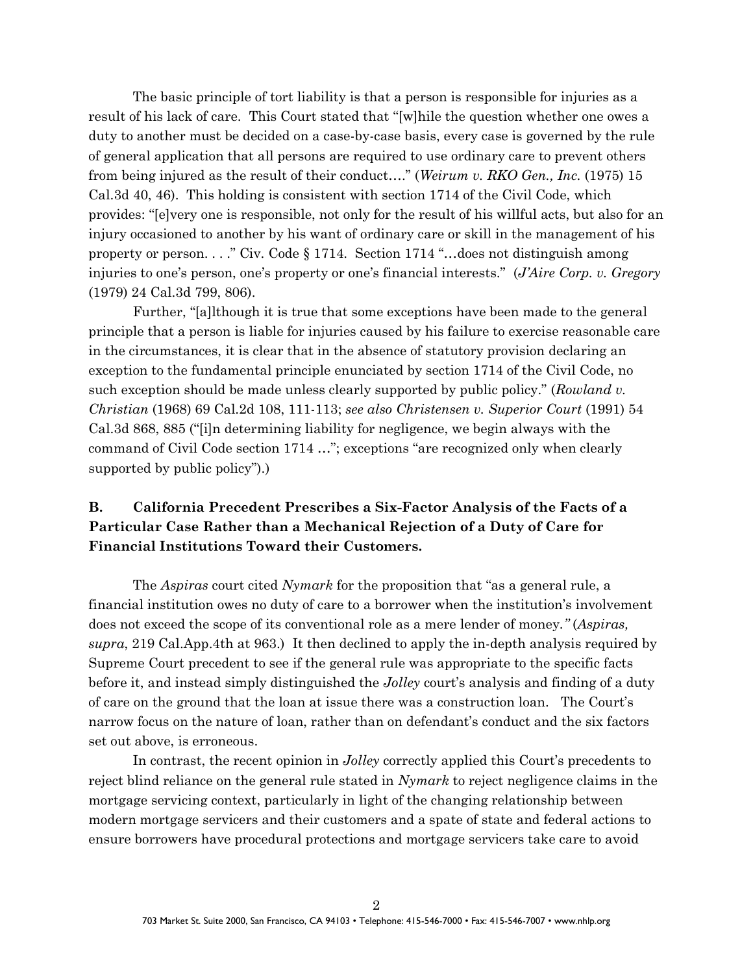The basic principle of tort liability is that a person is responsible for injuries as a result of his lack of care. This Court stated that "[w]hile the question whether one owes a duty to another must be decided on a case-by-case basis, every case is governed by the rule of general application that all persons are required to use ordinary care to prevent others from being injured as the result of their conduct…." (*Weirum v. RKO Gen., Inc.* (1975) 15 Cal.3d 40, 46). This holding is consistent with section 1714 of the Civil Code, which provides: "[e]very one is responsible, not only for the result of his willful acts, but also for an injury occasioned to another by his want of ordinary care or skill in the management of his property or person. . . ." Civ. Code § 1714. Section 1714 "…does not distinguish among injuries to one's person, one's property or one's financial interests." (*J'Aire Corp. v. Gregory* (1979) 24 Cal.3d 799, 806).

Further, "[a]lthough it is true that some exceptions have been made to the general principle that a person is liable for injuries caused by his failure to exercise reasonable care in the circumstances, it is clear that in the absence of statutory provision declaring an exception to the fundamental principle enunciated by section 1714 of the Civil Code, no such exception should be made unless clearly supported by public policy." (*Rowland v. Christian* (1968) 69 Cal.2d 108, 111-113; *see also Christensen v. Superior Court* (1991) 54 Cal.3d 868, 885 ("[i]n determining liability for negligence, we begin always with the command of Civil Code section 1714 …"; exceptions "are recognized only when clearly supported by public policy").)

# **B. California Precedent Prescribes a Six-Factor Analysis of the Facts of a Particular Case Rather than a Mechanical Rejection of a Duty of Care for Financial Institutions Toward their Customers.**

The *Aspiras* court cited *Nymark* for the proposition that "as a general rule, a financial institution owes no duty of care to a borrower when the institution's involvement does not exceed the scope of its conventional role as a mere lender of money*."* (*Aspiras, supra*, 219 Cal.App.4th at 963.) It then declined to apply the in-depth analysis required by Supreme Court precedent to see if the general rule was appropriate to the specific facts before it, and instead simply distinguished the *Jolley* court's analysis and finding of a duty of care on the ground that the loan at issue there was a construction loan.The Court's narrow focus on the nature of loan, rather than on defendant's conduct and the six factors set out above, is erroneous.

In contrast, the recent opinion in *Jolley* correctly applied this Court's precedents to reject blind reliance on the general rule stated in *Nymark* to reject negligence claims in the mortgage servicing context, particularly in light of the changing relationship between modern mortgage servicers and their customers and a spate of state and federal actions to ensure borrowers have procedural protections and mortgage servicers take care to avoid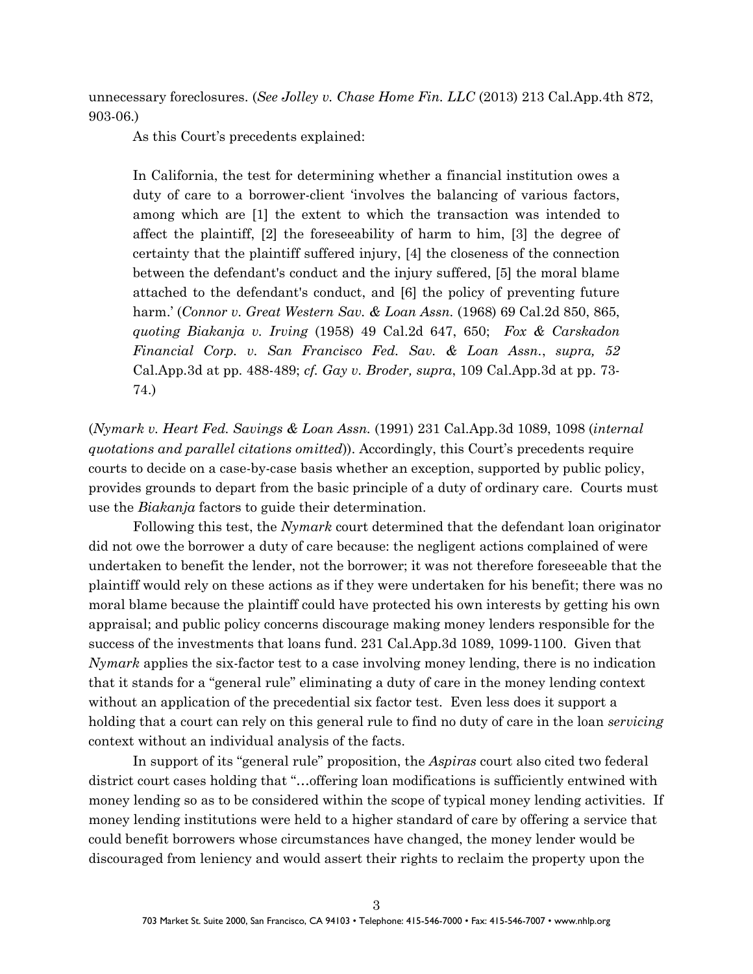unnecessary foreclosures. (*See Jolley v. Chase Home Fin. LLC* (2013) 213 Cal.App.4th 872, 903-06.)

As this Court's precedents explained:

In California, the test for determining whether a financial institution owes a duty of care to a borrower-client 'involves the balancing of various factors, among which are [1] the extent to which the transaction was intended to affect the plaintiff, [2] the foreseeability of harm to him, [3] the degree of certainty that the plaintiff suffered injury, [4] the closeness of the connection between the defendant's conduct and the injury suffered, [5] the moral blame attached to the defendant's conduct, and [6] the policy of preventing future harm.' (*Connor v. Great Western Sav. & Loan Assn.* (1968) 69 Cal.2d 850, 865, *quoting Biakanja v. Irving* (1958) 49 Cal.2d 647, 650; *Fox & Carskadon Financial Corp. v. San Francisco Fed. Sav. & Loan Assn.*, *supra, 52* Cal.App.3d at pp. 488-489; *cf. Gay v. Broder, supra*, 109 Cal.App.3d at pp. 73- 74.)

(*Nymark v. Heart Fed. Savings & Loan Assn.* (1991) 231 Cal.App.3d 1089, 1098 (*internal quotations and parallel citations omitted*)). Accordingly, this Court's precedents require courts to decide on a case-by-case basis whether an exception, supported by public policy, provides grounds to depart from the basic principle of a duty of ordinary care. Courts must use the *Biakanja* factors to guide their determination.

Following this test, the *Nymark* court determined that the defendant loan originator did not owe the borrower a duty of care because: the negligent actions complained of were undertaken to benefit the lender, not the borrower; it was not therefore foreseeable that the plaintiff would rely on these actions as if they were undertaken for his benefit; there was no moral blame because the plaintiff could have protected his own interests by getting his own appraisal; and public policy concerns discourage making money lenders responsible for the success of the investments that loans fund. 231 Cal.App.3d 1089, 1099-1100. Given that *Nymark* applies the six-factor test to a case involving money lending, there is no indication that it stands for a "general rule" eliminating a duty of care in the money lending context without an application of the precedential six factor test. Even less does it support a holding that a court can rely on this general rule to find no duty of care in the loan *servicing* context without an individual analysis of the facts.

In support of its "general rule" proposition, the *Aspiras* court also cited two federal district court cases holding that "…offering loan modifications is sufficiently entwined with money lending so as to be considered within the scope of typical money lending activities. If money lending institutions were held to a higher standard of care by offering a service that could benefit borrowers whose circumstances have changed, the money lender would be discouraged from leniency and would assert their rights to reclaim the property upon the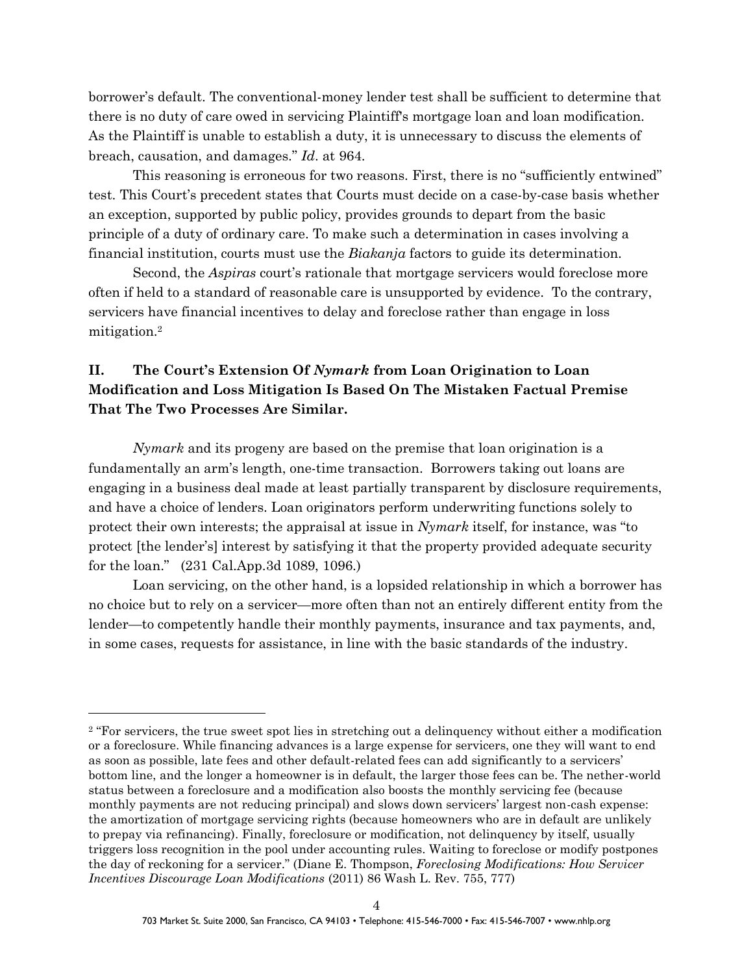borrower's default. The conventional-money lender test shall be sufficient to determine that there is no duty of care owed in servicing Plaintiff's mortgage loan and loan modification. As the Plaintiff is unable to establish a duty, it is unnecessary to discuss the elements of breach, causation, and damages." *Id*. at 964.

This reasoning is erroneous for two reasons. First, there is no "sufficiently entwined" test. This Court's precedent states that Courts must decide on a case-by-case basis whether an exception, supported by public policy, provides grounds to depart from the basic principle of a duty of ordinary care. To make such a determination in cases involving a financial institution, courts must use the *Biakanja* factors to guide its determination.

Second, the *Aspiras* court's rationale that mortgage servicers would foreclose more often if held to a standard of reasonable care is unsupported by evidence. To the contrary, servicers have financial incentives to delay and foreclose rather than engage in loss mitigation.<sup>2</sup>

# **II. The Court's Extension Of** *Nymark* **from Loan Origination to Loan Modification and Loss Mitigation Is Based On The Mistaken Factual Premise That The Two Processes Are Similar.**

*Nymark* and its progeny are based on the premise that loan origination is a fundamentally an arm's length, one-time transaction. Borrowers taking out loans are engaging in a business deal made at least partially transparent by disclosure requirements, and have a choice of lenders. Loan originators perform underwriting functions solely to protect their own interests; the appraisal at issue in *Nymark* itself, for instance, was "to protect [the lender's] interest by satisfying it that the property provided adequate security for the loan." (231 Cal.App.3d 1089, 1096.)

Loan servicing, on the other hand, is a lopsided relationship in which a borrower has no choice but to rely on a servicer—more often than not an entirely different entity from the lender—to competently handle their monthly payments, insurance and tax payments, and, in some cases, requests for assistance, in line with the basic standards of the industry.

<sup>&</sup>lt;sup>2</sup> "For servicers, the true sweet spot lies in stretching out a delinquency without either a modification or a foreclosure. While financing advances is a large expense for servicers, one they will want to end as soon as possible, late fees and other default-related fees can add significantly to a servicers' bottom line, and the longer a homeowner is in default, the larger those fees can be. The nether-world status between a foreclosure and a modification also boosts the monthly servicing fee (because monthly payments are not reducing principal) and slows down servicers' largest non-cash expense: the amortization of mortgage servicing rights (because homeowners who are in default are unlikely to prepay via refinancing). Finally, foreclosure or modification, not delinquency by itself, usually triggers loss recognition in the pool under accounting rules. Waiting to foreclose or modify postpones the day of reckoning for a servicer." (Diane E. Thompson, *Foreclosing Modifications: How Servicer Incentives Discourage Loan Modifications* (2011) 86 Wash L. Rev. 755, 777)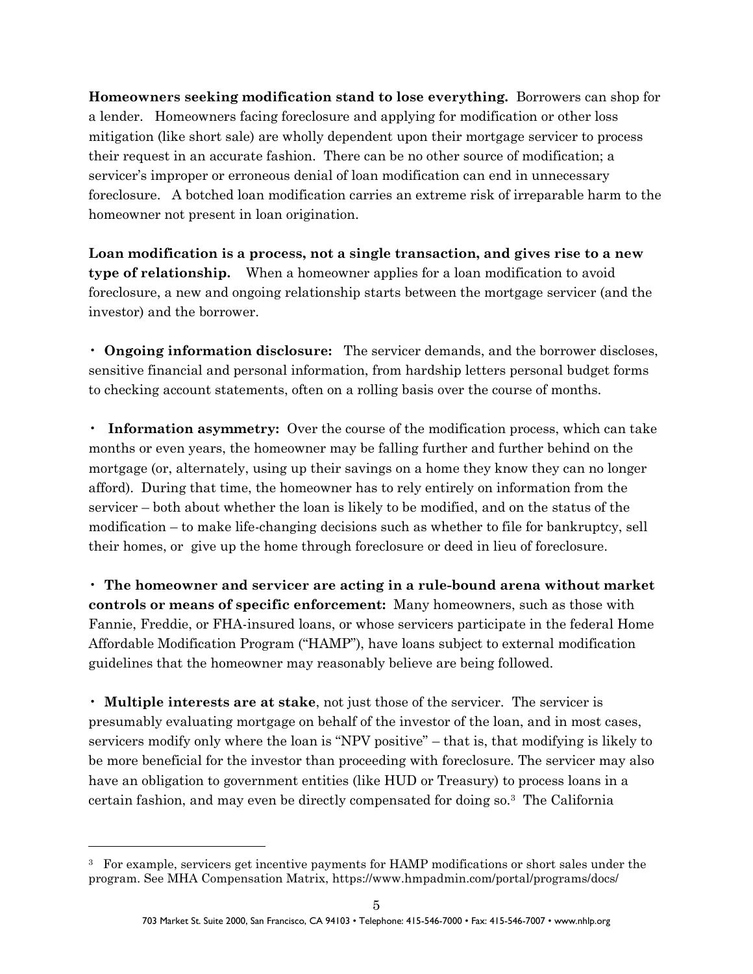**Homeowners seeking modification stand to lose everything.** Borrowers can shop for a lender. Homeowners facing foreclosure and applying for modification or other loss mitigation (like short sale) are wholly dependent upon their mortgage servicer to process their request in an accurate fashion. There can be no other source of modification; a servicer's improper or erroneous denial of loan modification can end in unnecessary foreclosure. A botched loan modification carries an extreme risk of irreparable harm to the homeowner not present in loan origination.

**Loan modification is a process, not a single transaction, and gives rise to a new type of relationship.** When a homeowner applies for a loan modification to avoid foreclosure, a new and ongoing relationship starts between the mortgage servicer (and the investor) and the borrower.

• **Ongoing information disclosure:** The servicer demands, and the borrower discloses, sensitive financial and personal information, from hardship letters personal budget forms to checking account statements, often on a rolling basis over the course of months.

• **Information asymmetry:** Over the course of the modification process, which can take months or even years, the homeowner may be falling further and further behind on the mortgage (or, alternately, using up their savings on a home they know they can no longer afford). During that time, the homeowner has to rely entirely on information from the servicer – both about whether the loan is likely to be modified, and on the status of the modification – to make life-changing decisions such as whether to file for bankruptcy, sell their homes, or give up the home through foreclosure or deed in lieu of foreclosure.

• **The homeowner and servicer are acting in a rule-bound arena without market controls or means of specific enforcement:** Many homeowners, such as those with Fannie, Freddie, or FHA-insured loans, or whose servicers participate in the federal Home Affordable Modification Program ("HAMP"), have loans subject to external modification guidelines that the homeowner may reasonably believe are being followed.

• **Multiple interests are at stake**, not just those of the servicer. The servicer is presumably evaluating mortgage on behalf of the investor of the loan, and in most cases, servicers modify only where the loan is "NPV positive" – that is, that modifying is likely to be more beneficial for the investor than proceeding with foreclosure. The servicer may also have an obligation to government entities (like HUD or Treasury) to process loans in a certain fashion, and may even be directly compensated for doing so.<sup>3</sup> The California

l

<sup>3</sup> For example, servicers get incentive payments for HAMP modifications or short sales under the program. See MHA Compensation Matrix, https://www.hmpadmin.com/portal/programs/docs/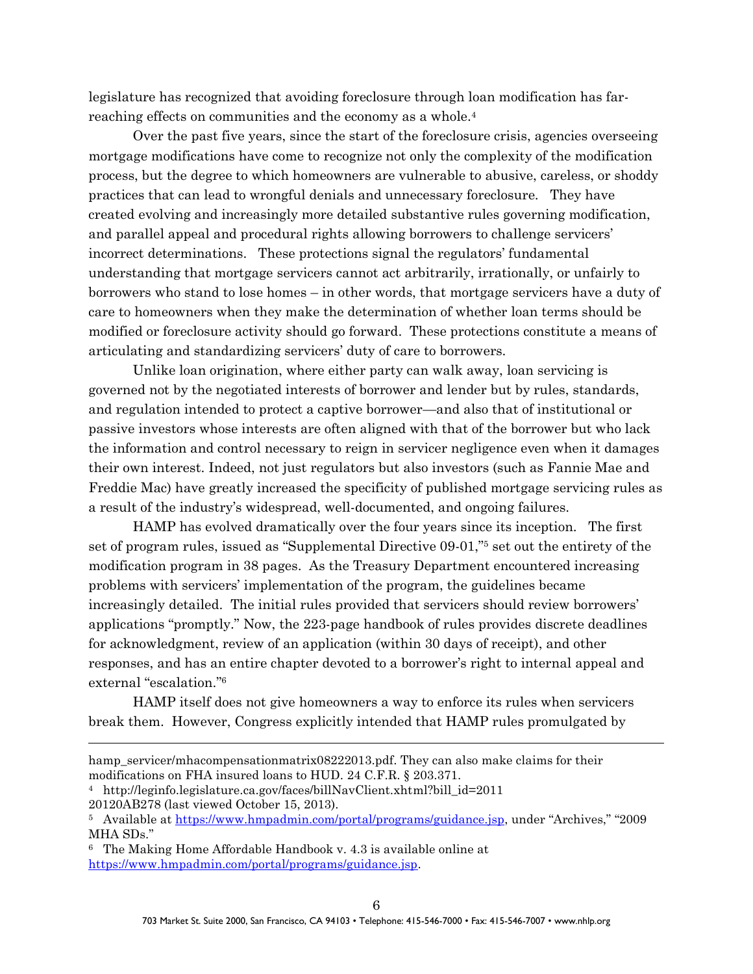legislature has recognized that avoiding foreclosure through loan modification has farreaching effects on communities and the economy as a whole.<sup>4</sup>

Over the past five years, since the start of the foreclosure crisis, agencies overseeing mortgage modifications have come to recognize not only the complexity of the modification process, but the degree to which homeowners are vulnerable to abusive, careless, or shoddy practices that can lead to wrongful denials and unnecessary foreclosure. They have created evolving and increasingly more detailed substantive rules governing modification, and parallel appeal and procedural rights allowing borrowers to challenge servicers' incorrect determinations. These protections signal the regulators' fundamental understanding that mortgage servicers cannot act arbitrarily, irrationally, or unfairly to borrowers who stand to lose homes – in other words, that mortgage servicers have a duty of care to homeowners when they make the determination of whether loan terms should be modified or foreclosure activity should go forward. These protections constitute a means of articulating and standardizing servicers' duty of care to borrowers.

Unlike loan origination, where either party can walk away, loan servicing is governed not by the negotiated interests of borrower and lender but by rules, standards, and regulation intended to protect a captive borrower—and also that of institutional or passive investors whose interests are often aligned with that of the borrower but who lack the information and control necessary to reign in servicer negligence even when it damages their own interest. Indeed, not just regulators but also investors (such as Fannie Mae and Freddie Mac) have greatly increased the specificity of published mortgage servicing rules as a result of the industry's widespread, well-documented, and ongoing failures.

HAMP has evolved dramatically over the four years since its inception. The first set of program rules, issued as "Supplemental Directive 09-01,"<sup>5</sup> set out the entirety of the modification program in 38 pages. As the Treasury Department encountered increasing problems with servicers' implementation of the program, the guidelines became increasingly detailed. The initial rules provided that servicers should review borrowers' applications "promptly." Now, the 223-page handbook of rules provides discrete deadlines for acknowledgment, review of an application (within 30 days of receipt), and other responses, and has an entire chapter devoted to a borrower's right to internal appeal and external "escalation." 6

HAMP itself does not give homeowners a way to enforce its rules when servicers break them. However, Congress explicitly intended that HAMP rules promulgated by

 $\overline{a}$ 

hamp servicer/mhacompensationmatrix08222013.pdf. They can also make claims for their modifications on FHA insured loans to HUD. 24 C.F.R. § 203.371.

<sup>4</sup> http://leginfo.legislature.ca.gov/faces/billNavClient.xhtml?bill\_id=2011

<sup>20120</sup>AB278 (last viewed October 15, 2013).

<sup>5</sup> Available at<https://www.hmpadmin.com/portal/programs/guidance.jsp>, under "Archives," "2009 MHA SDs."

<sup>6</sup> The Making Home Affordable Handbook v. 4.3 is available online at [https://www.hmpadmin.com/portal/programs/guidance.jsp.](https://www.hmpadmin.com/portal/programs/guidance.jsp)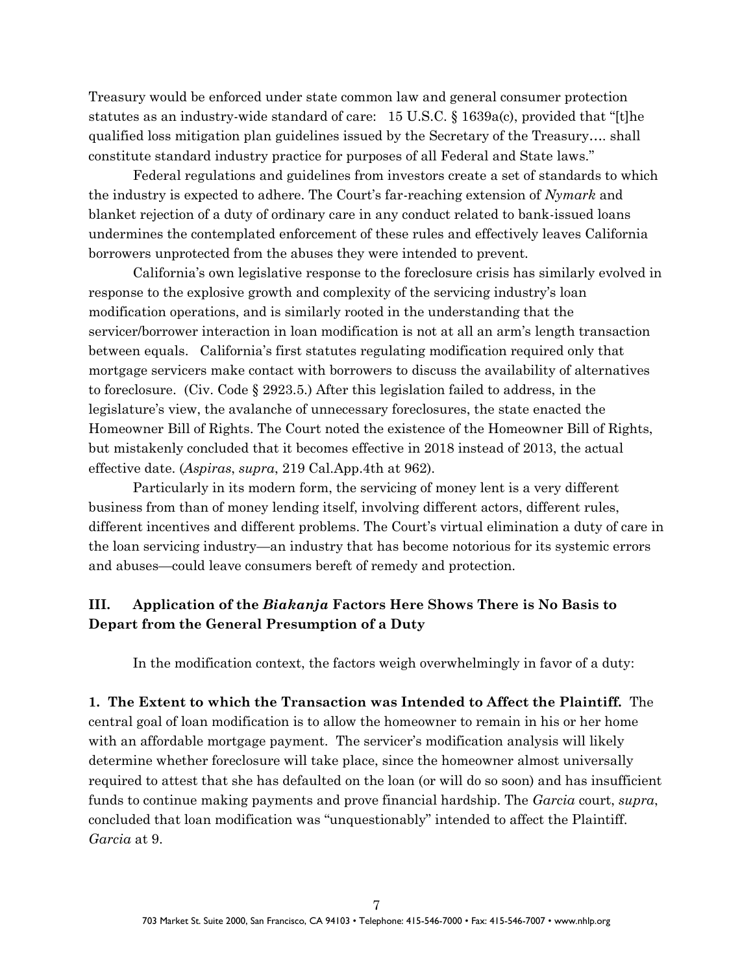Treasury would be enforced under state common law and general consumer protection statutes as an industry-wide standard of care: 15 U.S.C. § 1639a(c), provided that "[t]he qualified loss mitigation plan guidelines issued by the Secretary of the Treasury…. shall constitute standard industry practice for purposes of all Federal and State laws."

Federal regulations and guidelines from investors create a set of standards to which the industry is expected to adhere. The Court's far-reaching extension of *Nymark* and blanket rejection of a duty of ordinary care in any conduct related to bank-issued loans undermines the contemplated enforcement of these rules and effectively leaves California borrowers unprotected from the abuses they were intended to prevent.

California's own legislative response to the foreclosure crisis has similarly evolved in response to the explosive growth and complexity of the servicing industry's loan modification operations, and is similarly rooted in the understanding that the servicer/borrower interaction in loan modification is not at all an arm's length transaction between equals. California's first statutes regulating modification required only that mortgage servicers make contact with borrowers to discuss the availability of alternatives to foreclosure. (Civ. Code § 2923.5.) After this legislation failed to address, in the legislature's view, the avalanche of unnecessary foreclosures, the state enacted the Homeowner Bill of Rights. The Court noted the existence of the Homeowner Bill of Rights, but mistakenly concluded that it becomes effective in 2018 instead of 2013, the actual effective date. (*Aspiras*, *supra*, 219 Cal.App.4th at 962).

Particularly in its modern form, the servicing of money lent is a very different business from than of money lending itself, involving different actors, different rules, different incentives and different problems. The Court's virtual elimination a duty of care in the loan servicing industry—an industry that has become notorious for its systemic errors and abuses—could leave consumers bereft of remedy and protection.

### **III. Application of the** *Biakanja* **Factors Here Shows There is No Basis to Depart from the General Presumption of a Duty**

In the modification context, the factors weigh overwhelmingly in favor of a duty:

**1. The Extent to which the Transaction was Intended to Affect the Plaintiff.** The central goal of loan modification is to allow the homeowner to remain in his or her home with an affordable mortgage payment. The servicer's modification analysis will likely determine whether foreclosure will take place, since the homeowner almost universally required to attest that she has defaulted on the loan (or will do so soon) and has insufficient funds to continue making payments and prove financial hardship. The *Garcia* court, *supra*, concluded that loan modification was "unquestionably" intended to affect the Plaintiff*. Garcia* at 9.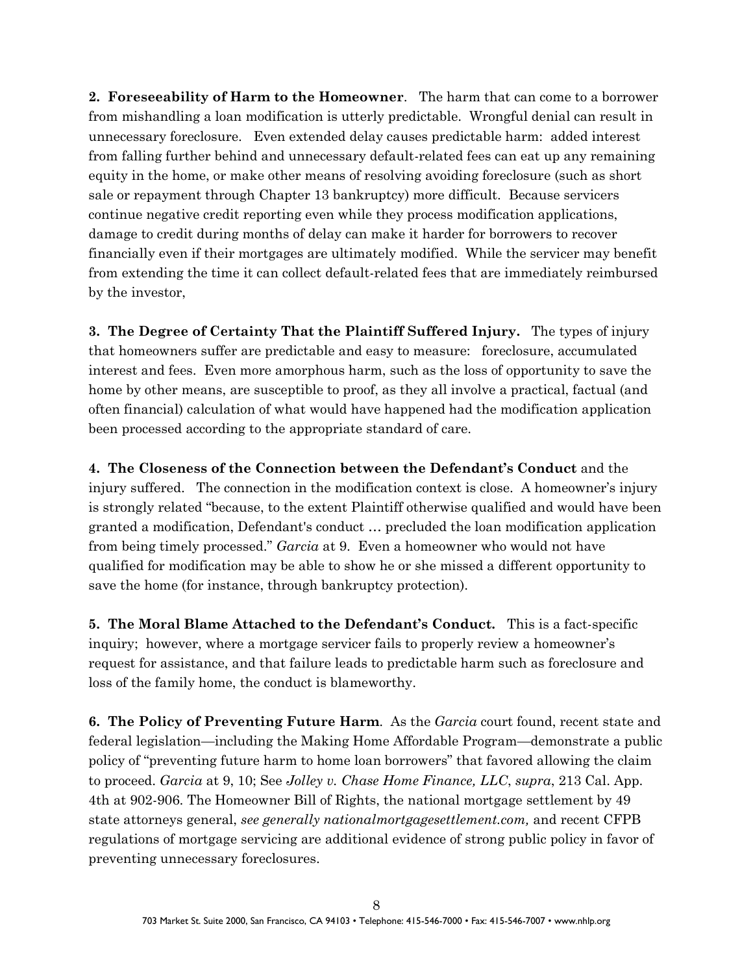**2. Foreseeability of Harm to the Homeowner**. The harm that can come to a borrower from mishandling a loan modification is utterly predictable. Wrongful denial can result in unnecessary foreclosure. Even extended delay causes predictable harm: added interest from falling further behind and unnecessary default-related fees can eat up any remaining equity in the home, or make other means of resolving avoiding foreclosure (such as short sale or repayment through Chapter 13 bankruptcy) more difficult. Because servicers continue negative credit reporting even while they process modification applications, damage to credit during months of delay can make it harder for borrowers to recover financially even if their mortgages are ultimately modified. While the servicer may benefit from extending the time it can collect default-related fees that are immediately reimbursed by the investor,

**3. The Degree of Certainty That the Plaintiff Suffered Injury.** The types of injury that homeowners suffer are predictable and easy to measure: foreclosure, accumulated interest and fees. Even more amorphous harm, such as the loss of opportunity to save the home by other means, are susceptible to proof, as they all involve a practical, factual (and often financial) calculation of what would have happened had the modification application been processed according to the appropriate standard of care.

**4. The Closeness of the Connection between the Defendant's Conduct** and the injury suffered. The connection in the modification context is close. A homeowner's injury is strongly related "because, to the extent Plaintiff otherwise qualified and would have been granted a modification, Defendant's conduct … precluded the loan modification application from being timely processed." *Garcia* at 9. Even a homeowner who would not have qualified for modification may be able to show he or she missed a different opportunity to save the home (for instance, through bankruptcy protection).

**5. The Moral Blame Attached to the Defendant's Conduct.** This is a fact-specific inquiry; however, where a mortgage servicer fails to properly review a homeowner's request for assistance, and that failure leads to predictable harm such as foreclosure and loss of the family home, the conduct is blameworthy.

**6. The Policy of Preventing Future Harm**. As the *Garcia* court found, recent state and federal legislation—including the Making Home Affordable Program—demonstrate a public policy of "preventing future harm to home loan borrowers" that favored allowing the claim to proceed. *Garcia* at 9, 10; See *Jolley v. Chase Home Finance, LLC*, *supra*, 213 Cal. App. 4th at 902-906. The Homeowner Bill of Rights, the national mortgage settlement by 49 state attorneys general, *see generally nationalmortgagesettlement.com,* and recent CFPB regulations of mortgage servicing are additional evidence of strong public policy in favor of preventing unnecessary foreclosures.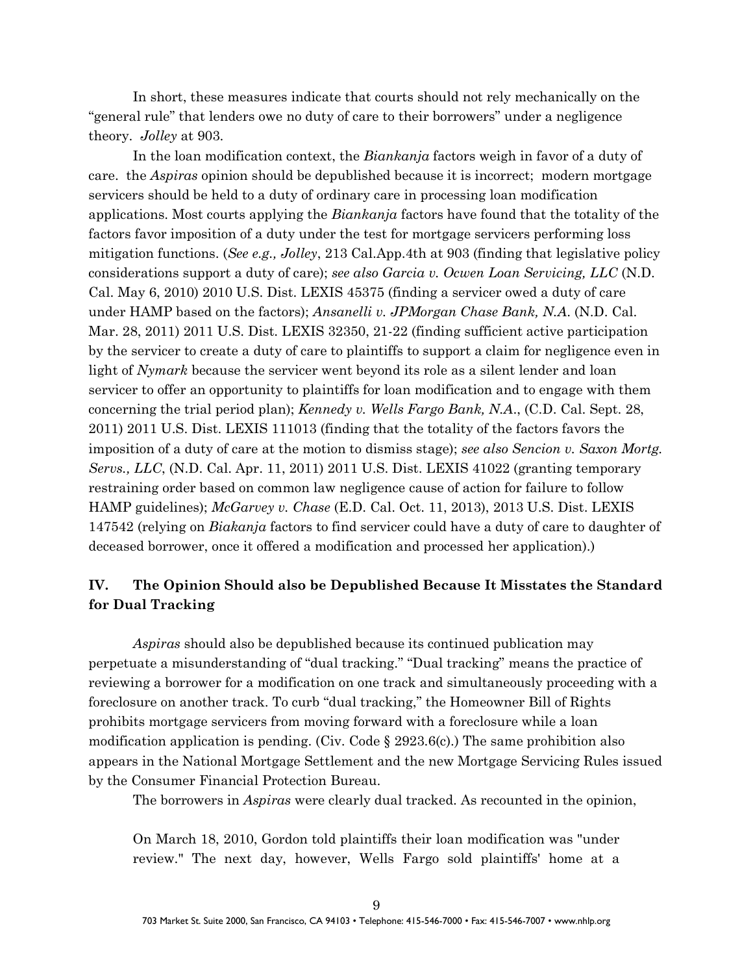In short, these measures indicate that courts should not rely mechanically on the "general rule" that lenders owe no duty of care to their borrowers" under a negligence theory. *Jolley* at 903.

In the loan modification context, the *Biankanja* factors weigh in favor of a duty of care. the *Aspiras* opinion should be depublished because it is incorrect; modern mortgage servicers should be held to a duty of ordinary care in processing loan modification applications. Most courts applying the *Biankanja* factors have found that the totality of the factors favor imposition of a duty under the test for mortgage servicers performing loss mitigation functions. (*See e.g., Jolley*, 213 Cal.App.4th at 903 (finding that legislative policy considerations support a duty of care); *see also Garcia v. Ocwen Loan Servicing, LLC* (N.D. Cal. May 6, 2010) 2010 U.S. Dist. LEXIS 45375 (finding a servicer owed a duty of care under HAMP based on the factors); *Ansanelli v. JPMorgan Chase Bank, N.A*. (N.D. Cal. Mar. 28, 2011) 2011 U.S. Dist. LEXIS 32350, 21-22 (finding sufficient active participation by the servicer to create a duty of care to plaintiffs to support a claim for negligence even in light of *Nymark* because the servicer went beyond its role as a silent lender and loan servicer to offer an opportunity to plaintiffs for loan modification and to engage with them concerning the trial period plan); *Kennedy v. Wells Fargo Bank, N.A*., (C.D. Cal. Sept. 28, 2011) 2011 U.S. Dist. LEXIS 111013 (finding that the totality of the factors favors the imposition of a duty of care at the motion to dismiss stage); *see also Sencion v. Saxon Mortg. Servs., LLC*, (N.D. Cal. Apr. 11, 2011) 2011 U.S. Dist. LEXIS 41022 (granting temporary restraining order based on common law negligence cause of action for failure to follow HAMP guidelines); *McGarvey v. Chase* (E.D. Cal. Oct. 11, 2013), 2013 U.S. Dist. LEXIS 147542 (relying on *Biakanja* factors to find servicer could have a duty of care to daughter of deceased borrower, once it offered a modification and processed her application).)

#### **IV. The Opinion Should also be Depublished Because It Misstates the Standard for Dual Tracking**

*Aspiras* should also be depublished because its continued publication may perpetuate a misunderstanding of "dual tracking." "Dual tracking" means the practice of reviewing a borrower for a modification on one track and simultaneously proceeding with a foreclosure on another track. To curb "dual tracking," the Homeowner Bill of Rights prohibits mortgage servicers from moving forward with a foreclosure while a loan modification application is pending. (Civ. Code  $\S 2923.6(c)$ .) The same prohibition also appears in the National Mortgage Settlement and the new Mortgage Servicing Rules issued by the Consumer Financial Protection Bureau.

The borrowers in *Aspiras* were clearly dual tracked. As recounted in the opinion,

On March 18, 2010, Gordon told plaintiffs their loan modification was "under review." The next day, however, Wells Fargo sold plaintiffs' home at a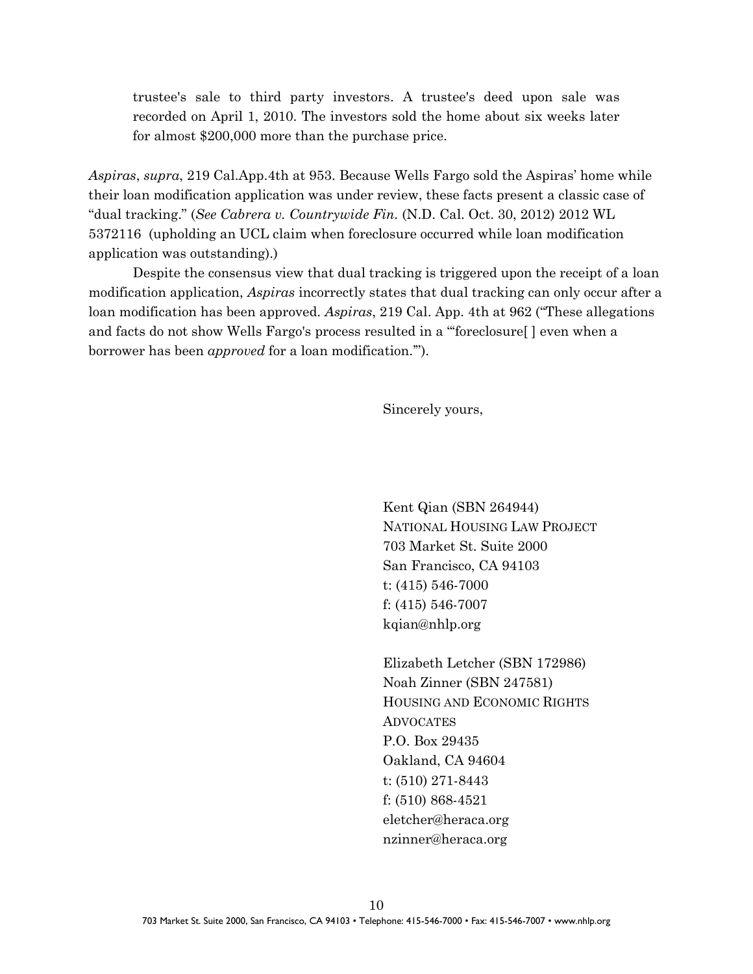trustee's sale to third party investors. A trustee's deed upon sale was recorded on April 1, 2010. The investors sold the home about six weeks later for almost \$200,000 more than the purchase price.

*Aspiras*, *supra*, 219 Cal.App.4th at 953. Because Wells Fargo sold the Aspiras' home while their loan modification application was under review, these facts present a classic case of "dual tracking." (*See Cabrera v. Countrywide Fin.* (N.D. Cal. Oct. 30, 2012) 2012 WL 5372116 (upholding an UCL claim when foreclosure occurred while loan modification application was outstanding).)

Despite the consensus view that dual tracking is triggered upon the receipt of a loan modification application, *Aspiras* incorrectly states that dual tracking can only occur after a loan modification has been approved. *Aspiras*, 219 Cal. App. 4th at 962 ("These allegations and facts do not show Wells Fargo's process resulted in a "'foreclosure[ ] even when a borrower has been *approved* for a loan modification.'").

Sincerely yours,

Kent Qian (SBN 264944) NATIONAL HOUSING LAW PROJECT 703 Market St. Suite 2000 San Francisco, CA 94103 t: (415) 546-7000 f: (415) 546-7007 kqian@nhlp.org

Elizabeth Letcher (SBN 172986) Noah Zinner (SBN 247581) HOUSING AND ECONOMIC RIGHTS ADVOCATES P.O. Box 29435 Oakland, CA 94604 t: (510) 271-8443 f: (510) 868-4521 eletcher@heraca.org nzinner@heraca.org